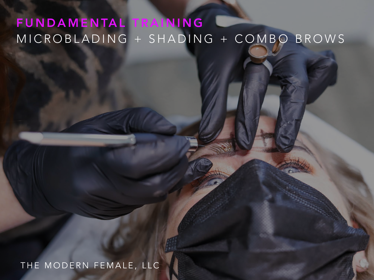### FUNDAMENTAL TRAINING MICROBLADING + SHADING + COMBO BROWS

#### THE MODERN FEMALE, LLC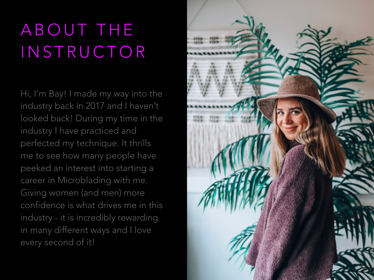# ABOUT THE INSTRUCTOR

Hi, I'm Bay! I made my way into the industry back in 2017 and I haven't looked back! During my time in the industry I have practiced and perfected my technique. It thrills me to see how many people have peeked an interest into starting a career in Microblading with me. Giving women (and men) more confidence is what drives me in this industry - it is incredibly rewarding in many different ways and I love every second of it!

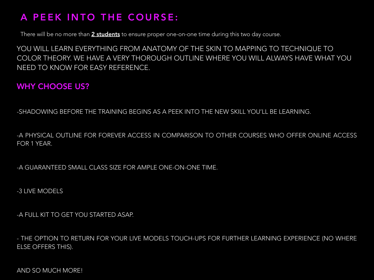#### A PEEK INTO THE COURSE:

There will be no more than 2 students to ensure proper one-on-one time during this two day course.

YOU WILL LEARN EVERYTHING FROM ANATOMY OF THE SKIN TO MAPPING TO TECHNIQUE TO COLOR THEORY. WE HAVE A VERY THOROUGH OUTLINE WHERE YOU WILL ALWAYS HAVE WHAT YOU NEED TO KNOW FOR EASY REFERENCE.

#### WHY CHOOSE US?

-SHADOWING BEFORE THE TRAINING BEGINS AS A PEEK INTO THE NEW SKILL YOU'LL BE LEARNING.

-A PHYSICAL OUTLINE FOR FOREVER ACCESS IN COMPARISON TO OTHER COURSES WHO OFFER ONLINE ACCESS FOR 1 YEAR.

-A GUARANTEED SMALL CLASS SIZE FOR AMPLE ONE-ON-ONE TIME.

-3 LIVE MODELS

-A FULL KIT TO GET YOU STARTED ASAP.

- THE OPTION TO RETURN FOR YOUR LIVE MODELS TOUCH-UPS FOR FURTHER LEARNING EXPERIENCE (NO WHERE ELSE OFFERS THIS).

AND SO MUCH MORE!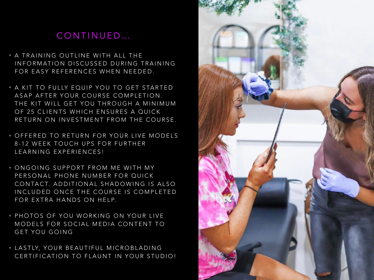#### CONTINUED…

- A TRAINING OUTLINE WITH ALL THE INFORMATION DISCUSSED DURING TRAINING FOR EASY REFERENCES WHEN NEEDED.
- A KIT TO FULLY EQUIP YOU TO GET STARTED ASAP AFTER YOUR COURSE COMPLETION. THE KIT WILL GET YOU THROUGH A MINIMUM OF 25 CLIENTS WHICH ENSURES A QUICK RETURN ON INVESTMENT FROM THE COURSE.
- OFFERED TO RETURN FOR YOUR LIVE MODELS 8-12 WEEK TOUCH UPS FOR FURTHER LEARNING EXPERIENCES!
- ONGOING SUPPORT FROM ME WITH MY PERSONAL PHONE NUMBER FOR QUICK CONTACT. ADDITIONAL SHADOWING IS ALSO INCLUDED ONCE THE COURSE IS COMPLETED FOR EXTRA HANDS ON HELP.
- PHOTOS OF YOU WORKING ON YOUR LIVE MODELS FOR SOCIAL MEDIA CONTENT TO GET YOU GOING
- LASTLY, YOUR BEAUTIFUL MICROBLADING CERTIFICATION TO FLAUNT IN YOUR STUDIO!